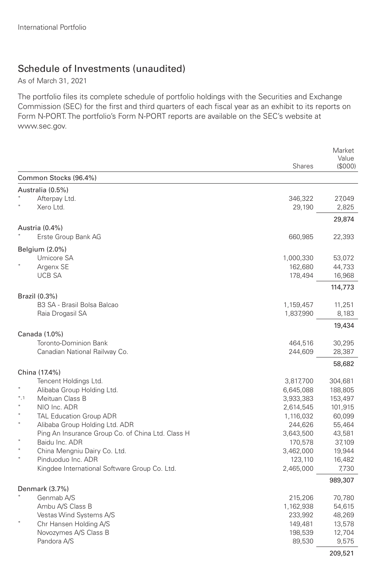## Schedule of Investments (unaudited)

As of March 31, 2021

The portfolio files its complete schedule of portfolio holdings with the Securities and Exchange Commission (SEC) for the first and third quarters of each fiscal year as an exhibit to its reports on Form N-PORT. The portfolio's Form N-PORT reports are available on the SEC's website at www.sec.gov.

|                                                   | <b>Shares</b>        | Market<br>Value<br>(\$000) |
|---------------------------------------------------|----------------------|----------------------------|
| Common Stocks (96.4%)                             |                      |                            |
| Australia (0.5%)                                  |                      |                            |
| Afterpay Ltd.                                     | 346,322              | 27,049                     |
| Xero Ltd.                                         | 29,190               | 2,825                      |
|                                                   |                      | 29,874                     |
| Austria (0.4%)                                    |                      |                            |
| Erste Group Bank AG                               | 660,985              | 22,393                     |
| Belgium (2.0%)                                    |                      |                            |
| Umicore SA                                        | 1,000,330            | 53,072                     |
| Argenx SE                                         | 162,680              | 44,733                     |
| <b>UCB SA</b>                                     | 178,494              | 16,968                     |
|                                                   |                      | 114,773                    |
| Brazil (0.3%)                                     |                      |                            |
| B3 SA - Brasil Bolsa Balcao                       | 1,159,457            | 11,251                     |
| Raia Drogasil SA                                  | 1,837,990            | 8,183                      |
|                                                   |                      | 19,434                     |
| Canada (1.0%)<br><b>Toronto-Dominion Bank</b>     |                      |                            |
| Canadian National Railway Co.                     | 464,516<br>244,609   | 30,295<br>28,387           |
|                                                   |                      |                            |
| China (17.4%)                                     |                      | 58,682                     |
| Tencent Holdings Ltd.                             | 3,817,700            | 304,681                    |
| Alibaba Group Holding Ltd.                        | 6,645,088            | 188,805                    |
| $*, 1$<br>Meituan Class B                         | 3,933,383            | 153,497                    |
| NIO Inc. ADR                                      | 2,614,545            | 101,915                    |
| $\star$<br><b>TAL Education Group ADR</b>         | 1,116,032            | 60,099                     |
| $\ast$<br>Alibaba Group Holding Ltd. ADR          | 244,626              | 55,464                     |
| Ping An Insurance Group Co. of China Ltd. Class H | 3,643,500            | 43,581                     |
| Baidu Inc. ADR<br>China Mengniu Dairy Co. Ltd.    | 170,578<br>3,462,000 | 37,109<br>19,944           |
| Pinduoduo Inc. ADR                                | 123,110              | 16,482                     |
| Kingdee International Software Group Co. Ltd.     | 2,465,000            | 7,730                      |
|                                                   |                      | 989,307                    |
| Denmark (3.7%)                                    |                      |                            |
| Genmab A/S                                        | 215,206              | 70,780                     |
| Ambu A/S Class B                                  | 1,162,938            | 54,615                     |
| Vestas Wind Systems A/S                           | 233,992              | 48,269                     |
| Chr Hansen Holding A/S                            | 149,481              | 13,578                     |
| Novozymes A/S Class B                             | 198,539              | 12,704                     |
| Pandora A/S                                       | 89,530               | 9,575                      |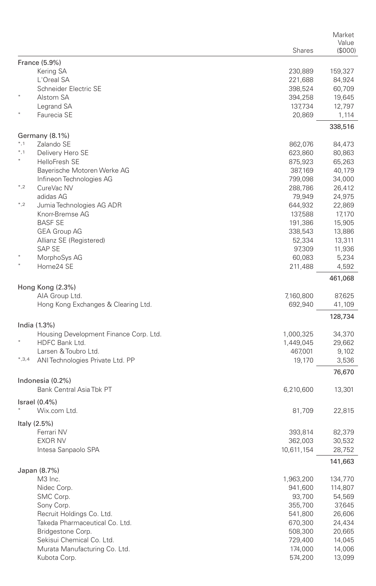|         |                                        |                    | Market                 |
|---------|----------------------------------------|--------------------|------------------------|
|         |                                        | Shares             | Value<br>$($ \$000 $)$ |
|         | France (5.9%)                          |                    |                        |
|         | Kering SA                              | 230,889            | 159,327                |
|         | L'Oreal SA                             | 221,688            | 84,924                 |
|         | Schneider Electric SE                  | 398,524            | 60,709                 |
|         | Alstom SA                              | 394,258            | 19,645                 |
|         | Legrand SA                             | 137,734            | 12,797                 |
|         | Faurecia SE                            | 20,869             | 1,114                  |
|         |                                        |                    | 338,516                |
| $*, 1$  | Germany (8.1%)<br>Zalando SE           |                    |                        |
| $*, 1$  | Delivery Hero SE                       | 862,076<br>623,860 | 84,473                 |
| ×       | <b>HelloFresh SE</b>                   | 875,923            | 80,863<br>65,263       |
|         | Bayerische Motoren Werke AG            | 387,169            | 40,179                 |
|         | Infineon Technologies AG               | 799,098            | 34,000                 |
| $^*,2$  | CureVac NV                             | 288,786            | 26,412                 |
|         | adidas AG                              | 79,949             | 24,975                 |
| $^*,2$  | Jumia Technologies AG ADR              | 644,932            | 22,869                 |
|         | Knorr-Bremse AG                        | 137,588            | 17,170                 |
|         | <b>BASF SE</b>                         | 191,386            | 15,905                 |
|         | <b>GEA Group AG</b>                    | 338,543            | 13,886                 |
|         | Allianz SE (Registered)                | 52,334             | 13,311                 |
|         | SAP SE                                 | 97,309             | 11,936                 |
|         | MorphoSys AG                           | 60,083             | 5,234                  |
|         | Home24 SE                              | 211,488            | 4,592                  |
|         |                                        |                    | 461,068                |
|         | Hong Kong (2.3%)                       |                    |                        |
|         | AIA Group Ltd.                         | 7,160,800          | 87,625                 |
|         | Hong Kong Exchanges & Clearing Ltd.    | 692,940            | 41,109                 |
|         | India (1.3%)                           |                    | 128,734                |
|         | Housing Development Finance Corp. Ltd. | 1,000,325          | 34,370                 |
|         | HDFC Bank Ltd.                         | 1,449,045          | 29,662                 |
|         | Larsen & Toubro Ltd.                   | 467,001            | 9,102                  |
| $*,3,4$ | ANI Technologies Private Ltd. PP       | 19,170             | 3,536                  |
|         |                                        |                    | 76,670                 |
|         | Indonesia (0.2%)                       |                    |                        |
|         | Bank Central Asia Tbk PT               | 6,210,600          | 13,301                 |
|         | $\textsf{Israel}(0.4\%)$               |                    |                        |
|         | Wix.com Ltd.                           | 81,709             | 22,815                 |
|         | Italy (2.5%)                           |                    |                        |
|         | Ferrari NV                             | 393,814            | 82,379                 |
|         | <b>EXOR NV</b>                         | 362,003            | 30,532                 |
|         | Intesa Sanpaolo SPA                    | 10,611,154         | 28,752                 |
|         |                                        |                    | 141,663                |
|         | Japan (8.7%)<br>M3 Inc.                | 1,963,200          | 134,770                |
|         | Nidec Corp.                            | 941,600            | 114,807                |
|         | SMC Corp.                              | 93,700             | 54,569                 |
|         | Sony Corp.                             | 355,700            | 37,645                 |
|         | Recruit Holdings Co. Ltd.              | 541,800            | 26,606                 |
|         | Takeda Pharmaceutical Co. Ltd.         | 670,300            | 24,434                 |
|         | Bridgestone Corp.                      | 508,300            | 20,665                 |
|         | Sekisui Chemical Co. Ltd.              | 729,400            | 14,045                 |
|         | Murata Manufacturing Co. Ltd.          | 174,000            | 14,006                 |
|         | Kubota Corp.                           | 574,200            | 13,099                 |
|         |                                        |                    |                        |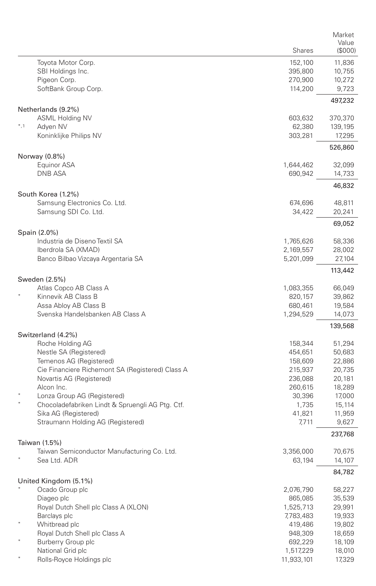|        |                                                           | <b>Shares</b>   | Market<br>Value<br>$($ \$000 $)$ |
|--------|-----------------------------------------------------------|-----------------|----------------------------------|
|        | Toyota Motor Corp.                                        | 152,100         | 11,836                           |
|        | SBI Holdings Inc.                                         | 395,800         | 10,755                           |
|        | Pigeon Corp.                                              | 270,900         | 10,272                           |
|        | SoftBank Group Corp.                                      | 114,200         | 9,723                            |
|        | Netherlands (9.2%)                                        |                 | 497,232                          |
|        | <b>ASML Holding NV</b>                                    | 603,632         | 370,370                          |
| $*, 1$ | Adyen NV                                                  | 62,380          | 139,195                          |
|        | Koninklijke Philips NV                                    | 303,281         | 17,295                           |
|        | Norway (0.8%)                                             |                 | 526,860                          |
|        | Equinor ASA                                               | 1,644,462       | 32,099                           |
|        | <b>DNB ASA</b>                                            | 690,942         | 14,733                           |
|        |                                                           |                 | 46,832                           |
|        | South Korea (1.2%)                                        |                 |                                  |
|        | Samsung Electronics Co. Ltd.                              | 674,696         | 48,811                           |
|        | Samsung SDI Co. Ltd.                                      | 34,422          | 20,241                           |
|        | Spain (2.0%)                                              |                 | 69,052                           |
|        | Industria de Diseno Textil SA                             | 1,765,626       | 58,336                           |
|        | Iberdrola SA (XMAD)                                       | 2,169,557       | 28,002                           |
|        | Banco Bilbao Vizcaya Argentaria SA                        | 5,201,099       | 27,104                           |
|        | Sweden (2.5%)                                             |                 | 113,442                          |
|        | Atlas Copco AB Class A                                    | 1,083,355       | 66,049                           |
|        | Kinnevik AB Class B                                       | 820,157         | 39,862                           |
|        | Assa Abloy AB Class B                                     | 680,461         | 19,584                           |
|        | Svenska Handelsbanken AB Class A                          | 1,294,529       | 14,073                           |
|        |                                                           |                 | 139,568                          |
|        | Switzerland (4.2%)<br>Roche Holding AG                    | 158,344         | 51,294                           |
|        | Nestle SA (Registered)                                    | 454,651         | 50,683                           |
|        | Temenos AG (Registered)                                   | 158,609         | 22,886                           |
|        | Cie Financiere Richemont SA (Registered) Class A          | 215,937         | 20,735                           |
|        | Novartis AG (Registered)                                  | 236,088         | 20,181                           |
|        | Alcon Inc.                                                | 260,615         | 18,289                           |
|        | Lonza Group AG (Registered)                               | 30,396          | 17,000                           |
|        | Chocoladefabriken Lindt & Spruengli AG Ptg. Ctf.          | 1,735           | 15,114                           |
|        | Sika AG (Registered)<br>Straumann Holding AG (Registered) | 41,821<br>7,711 | 11,959<br>9,627                  |
|        |                                                           |                 | 237,768                          |
|        | Taiwan (1.5%)                                             |                 |                                  |
|        | Taiwan Semiconductor Manufacturing Co. Ltd.               | 3,356,000       | 70,675                           |
|        | Sea Ltd. ADR                                              | 63,194          | 14,107                           |
|        | United Kingdom (5.1%)                                     |                 | 84,782                           |
|        | Ocado Group plc                                           | 2,076,790       | 58,227                           |
|        | Diageo plc                                                | 865,085         | 35,539                           |
|        | Royal Dutch Shell plc Class A (XLON)                      | 1,525,713       | 29,991                           |
|        | Barclays plc                                              | 7,783,483       | 19,933                           |
|        | Whitbread plc                                             | 419,486         | 19,802                           |
|        | Royal Dutch Shell plc Class A                             | 948,309         | 18,659                           |
|        | Burberry Group plc                                        | 692,229         | 18,109                           |
|        | National Grid plc                                         | 1,517,229       | 18,010                           |
|        | Rolls-Royce Holdings plc                                  | 11,933,101      | 17,329                           |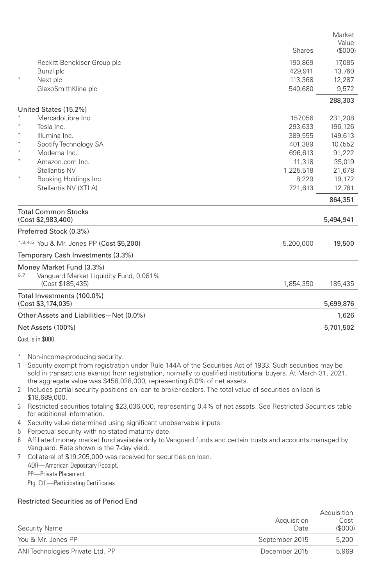|                  |                                           |           | Market<br>Value |
|------------------|-------------------------------------------|-----------|-----------------|
|                  |                                           | Shares    | (\$000)         |
|                  | Reckitt Benckiser Group plc               | 190,869   | 17,085          |
|                  | Bunzl plc                                 | 429,911   | 13,760          |
|                  | Next plc                                  | 113,368   | 12,287          |
|                  | GlaxoSmithKline plc                       | 540,680   | 9,572           |
|                  |                                           |           | 288,303         |
|                  | United States (15.2%)                     |           |                 |
|                  | MercadoLibre Inc.                         | 157,056   | 231,208         |
|                  | Tesla Inc.                                | 293,633   | 196,126         |
|                  | Illumina Inc.                             | 389,555   | 149,613         |
| $\ast$<br>$\ast$ | Spotify Technology SA                     | 401,389   | 107,552         |
| $\ast$           | Moderna Inc.                              | 696,613   | 91,222          |
|                  | Amazon.com Inc.                           | 11,318    | 35,019          |
|                  | Stellantis NV                             | 1,225,518 | 21,678          |
|                  | Booking Holdings Inc.                     | 8,229     | 19,172          |
|                  | Stellantis NV (XTLA)                      | 721,613   | 12,761          |
|                  |                                           |           | 864,351         |
|                  | <b>Total Common Stocks</b>                |           |                 |
|                  | (Cost \$2,983,400)                        |           | 5,494,941       |
|                  | Preferred Stock (0.3%)                    |           |                 |
|                  | *,3,4,5 You & Mr. Jones PP (Cost \$5,200) | 5,200,000 | 19,500          |
|                  | Temporary Cash Investments (3.3%)         |           |                 |
|                  | Money Market Fund (3.3%)                  |           |                 |
| 6,7              | Vanguard Market Liquidity Fund, 0.081%    |           |                 |
|                  | (Cost \$185,435)                          | 1,854,350 | 185,435         |
|                  | Total Investments (100.0%)                |           |                 |
|                  | (Cost \$3,174,035)                        |           | 5,699,876       |
|                  | Other Assets and Liabilities-Net (0.0%)   |           | 1,626           |
|                  | Net Assets (100%)                         |           | 5,701,502       |

Cost is in \$000.

- Non-income-producing security.
- 1 Security exempt from registration under Rule 144A of the Securities Act of 1933. Such securities may be sold in transactions exempt from registration, normally to qualified institutional buyers. At March 31, 2021, the aggregate value was \$458,028,000, representing 8.0% of net assets.
- 2 Includes partial security positions on loan to broker-dealers. The total value of securities on loan is \$18,689,000.
- 3 Restricted securities totaling \$23,036,000, representing 0.4% of net assets. See Restricted Securities table for additional information.
- 4 Security value determined using significant unobservable inputs.
- 5 Perpetual security with no stated maturity date.
- 6 Affiliated money market fund available only to Vanguard funds and certain trusts and accounts managed by Vanguard. Rate shown is the 7-day yield.
- 7 Collateral of \$19,205,000 was received for securities on loan.
	- ADR—American Depositary Receipt.

PP—Private Placement.

Ptg. Ctf.—Participating Certificates.

## Restricted Securities as of Period End

| Acquisition<br>Date | Acquisition<br>Cost<br>(S000) |
|---------------------|-------------------------------|
| September 2015      | 5,200                         |
| December 2015       | 5.969                         |
|                     |                               |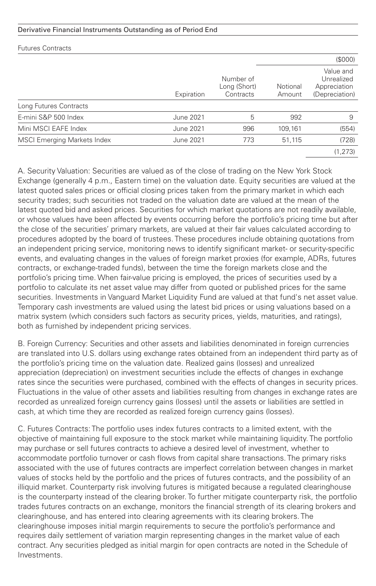## Derivative Financial Instruments Outstanding as of Period End

| <b>Futures Contracts</b>           |            |                                        |                    |                                                           |
|------------------------------------|------------|----------------------------------------|--------------------|-----------------------------------------------------------|
|                                    |            |                                        |                    | (S000)                                                    |
|                                    | Expiration | Number of<br>Long (Short)<br>Contracts | Notional<br>Amount | Value and<br>Unrealized<br>Appreciation<br>(Depreciation) |
| Long Futures Contracts             |            |                                        |                    |                                                           |
| E-mini S&P 500 Index               | June 2021  | 5                                      | 992                | 9                                                         |
| Mini MSCI EAFE Index               | June 2021  | 996                                    | 109,161            | (554)                                                     |
| <b>MSCI Emerging Markets Index</b> | June 2021  | 773                                    | 51,115             | (728)                                                     |
|                                    |            |                                        |                    | (1, 273)                                                  |

A. Security Valuation: Securities are valued as of the close of trading on the New York Stock Exchange (generally 4 p.m., Eastern time) on the valuation date. Equity securities are valued at the latest quoted sales prices or official closing prices taken from the primary market in which each security trades; such securities not traded on the valuation date are valued at the mean of the latest quoted bid and asked prices. Securities for which market quotations are not readily available, or whose values have been affected by events occurring before the portfolio's pricing time but after the close of the securities' primary markets, are valued at their fair values calculated according to procedures adopted by the board of trustees. These procedures include obtaining quotations from an independent pricing service, monitoring news to identify significant market- or security-specific events, and evaluating changes in the values of foreign market proxies (for example, ADRs, futures contracts, or exchange-traded funds), between the time the foreign markets close and the portfolio's pricing time. When fair-value pricing is employed, the prices of securities used by a portfolio to calculate its net asset value may differ from quoted or published prices for the same securities. Investments in Vanguard Market Liquidity Fund are valued at that fund's net asset value. Temporary cash investments are valued using the latest bid prices or using valuations based on a matrix system (which considers such factors as security prices, yields, maturities, and ratings), both as furnished by independent pricing services.

B. Foreign Currency: Securities and other assets and liabilities denominated in foreign currencies are translated into U.S. dollars using exchange rates obtained from an independent third party as of the portfolio's pricing time on the valuation date. Realized gains (losses) and unrealized appreciation (depreciation) on investment securities include the effects of changes in exchange rates since the securities were purchased, combined with the effects of changes in security prices. Fluctuations in the value of other assets and liabilities resulting from changes in exchange rates are recorded as unrealized foreign currency gains (losses) until the assets or liabilities are settled in cash, at which time they are recorded as realized foreign currency gains (losses).

C. Futures Contracts: The portfolio uses index futures contracts to a limited extent, with the objective of maintaining full exposure to the stock market while maintaining liquidity. The portfolio may purchase or sell futures contracts to achieve a desired level of investment, whether to accommodate portfolio turnover or cash flows from capital share transactions. The primary risks associated with the use of futures contracts are imperfect correlation between changes in market values of stocks held by the portfolio and the prices of futures contracts, and the possibility of an illiquid market. Counterparty risk involving futures is mitigated because a regulated clearinghouse is the counterparty instead of the clearing broker. To further mitigate counterparty risk, the portfolio trades futures contracts on an exchange, monitors the financial strength of its clearing brokers and clearinghouse, and has entered into clearing agreements with its clearing brokers. The clearinghouse imposes initial margin requirements to secure the portfolio's performance and requires daily settlement of variation margin representing changes in the market value of each contract. Any securities pledged as initial margin for open contracts are noted in the Schedule of Investments.